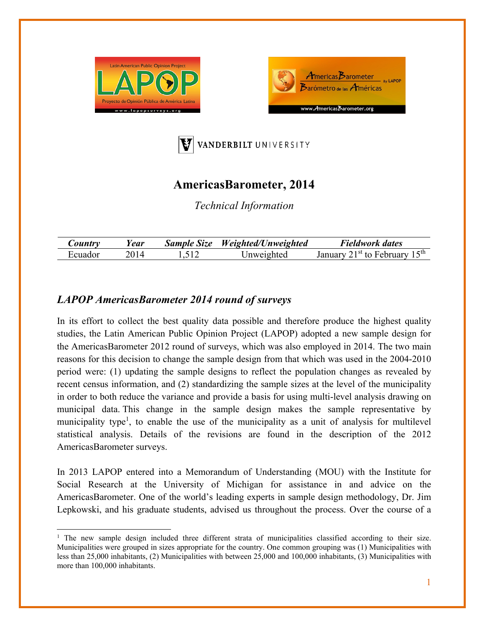





## **AmericasBarometer, 2014**

*Technical Information* 

| <i>Sountry</i> | ear  | <b>Sample Size</b> | Weighted/Unweighted | Fieldwork dates                                          |
|----------------|------|--------------------|---------------------|----------------------------------------------------------|
| Ecuador        | 7014 |                    | Inweighted          | '1 <sup>st</sup> to February 15 <sup>th</sup><br>January |

## *LAPOP AmericasBarometer 2014 round of surveys*

In its effort to collect the best quality data possible and therefore produce the highest quality studies, the Latin American Public Opinion Project (LAPOP) adopted a new sample design for the AmericasBarometer 2012 round of surveys, which was also employed in 2014. The two main reasons for this decision to change the sample design from that which was used in the 2004-2010 period were: (1) updating the sample designs to reflect the population changes as revealed by recent census information, and (2) standardizing the sample sizes at the level of the municipality in order to both reduce the variance and provide a basis for using multi-level analysis drawing on municipal data. This change in the sample design makes the sample representative by municipality type<sup>1</sup>, to enable the use of the municipality as a unit of analysis for multilevel statistical analysis. Details of the revisions are found in the description of the 2012 AmericasBarometer surveys.

In 2013 LAPOP entered into a Memorandum of Understanding (MOU) with the Institute for Social Research at the University of Michigan for assistance in and advice on the AmericasBarometer. One of the world's leading experts in sample design methodology, Dr. Jim Lepkowski, and his graduate students, advised us throughout the process. Over the course of a

<sup>&</sup>lt;sup>1</sup> The new sample design included three different strata of municipalities classified according to their size. Municipalities were grouped in sizes appropriate for the country. One common grouping was (1) Municipalities with less than 25,000 inhabitants, (2) Municipalities with between 25,000 and 100,000 inhabitants, (3) Municipalities with more than 100,000 inhabitants.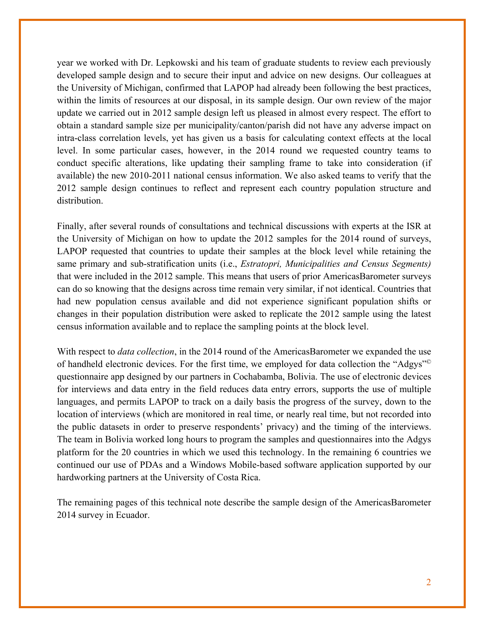year we worked with Dr. Lepkowski and his team of graduate students to review each previously developed sample design and to secure their input and advice on new designs. Our colleagues at the University of Michigan, confirmed that LAPOP had already been following the best practices, within the limits of resources at our disposal, in its sample design. Our own review of the major update we carried out in 2012 sample design left us pleased in almost every respect. The effort to obtain a standard sample size per municipality/canton/parish did not have any adverse impact on intra-class correlation levels, yet has given us a basis for calculating context effects at the local level. In some particular cases, however, in the 2014 round we requested country teams to conduct specific alterations, like updating their sampling frame to take into consideration (if available) the new 2010-2011 national census information. We also asked teams to verify that the 2012 sample design continues to reflect and represent each country population structure and distribution.

Finally, after several rounds of consultations and technical discussions with experts at the ISR at the University of Michigan on how to update the 2012 samples for the 2014 round of surveys, LAPOP requested that countries to update their samples at the block level while retaining the same primary and sub-stratification units (i.e., *Estratopri, Municipalities and Census Segments)*  that were included in the 2012 sample. This means that users of prior AmericasBarometer surveys can do so knowing that the designs across time remain very similar, if not identical. Countries that had new population census available and did not experience significant population shifts or changes in their population distribution were asked to replicate the 2012 sample using the latest census information available and to replace the sampling points at the block level.

With respect to *data collection*, in the 2014 round of the AmericasBarometer we expanded the use of handheld electronic devices. For the first time, we employed for data collection the "Adgys"© questionnaire app designed by our partners in Cochabamba, Bolivia. The use of electronic devices for interviews and data entry in the field reduces data entry errors, supports the use of multiple languages, and permits LAPOP to track on a daily basis the progress of the survey, down to the location of interviews (which are monitored in real time, or nearly real time, but not recorded into the public datasets in order to preserve respondents' privacy) and the timing of the interviews. The team in Bolivia worked long hours to program the samples and questionnaires into the Adgys platform for the 20 countries in which we used this technology. In the remaining 6 countries we continued our use of PDAs and a Windows Mobile-based software application supported by our hardworking partners at the University of Costa Rica.

The remaining pages of this technical note describe the sample design of the AmericasBarometer 2014 survey in Ecuador.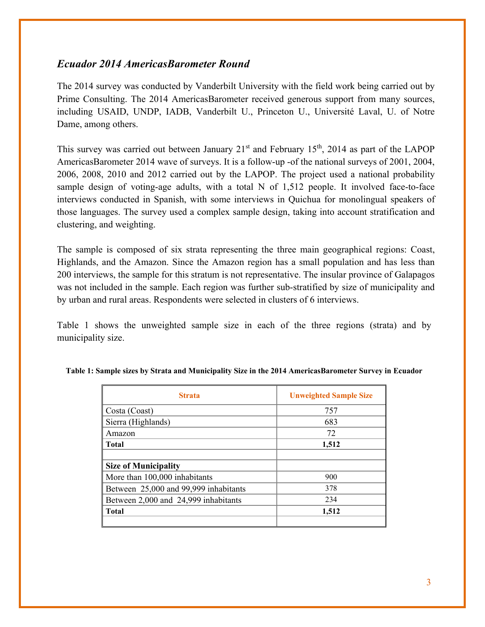## *Ecuador 2014 AmericasBarometer Round*

The 2014 survey was conducted by Vanderbilt University with the field work being carried out by Prime Consulting. The 2014 AmericasBarometer received generous support from many sources, including USAID, UNDP, IADB, Vanderbilt U., Princeton U., Université Laval, U. of Notre Dame, among others.

This survey was carried out between January  $21<sup>st</sup>$  and February 15<sup>th</sup>, 2014 as part of the LAPOP AmericasBarometer 2014 wave of surveys. It is a follow-up -of the national surveys of 2001, 2004, 2006, 2008, 2010 and 2012 carried out by the LAPOP. The project used a national probability sample design of voting-age adults, with a total N of 1,512 people. It involved face-to-face interviews conducted in Spanish, with some interviews in Quichua for monolingual speakers of those languages. The survey used a complex sample design, taking into account stratification and clustering, and weighting.

The sample is composed of six strata representing the three main geographical regions: Coast, Highlands, and the Amazon. Since the Amazon region has a small population and has less than 200 interviews, the sample for this stratum is not representative. The insular province of Galapagos was not included in the sample. Each region was further sub-stratified by size of municipality and by urban and rural areas. Respondents were selected in clusters of 6 interviews.

Table 1 shows the unweighted sample size in each of the three regions (strata) and by municipality size.

| <b>Strata</b>                         | <b>Unweighted Sample Size</b> |
|---------------------------------------|-------------------------------|
| Costa (Coast)                         | 757                           |
| Sierra (Highlands)                    | 683                           |
| Amazon                                | 72                            |
| <b>Total</b>                          | 1,512                         |
|                                       |                               |
| <b>Size of Municipality</b>           |                               |
| More than 100,000 inhabitants         | 900                           |
| Between 25,000 and 99,999 inhabitants | 378                           |
| Between 2,000 and 24,999 inhabitants  | 234                           |
| <b>Total</b>                          | 1,512                         |
|                                       |                               |

**Table 1: Sample sizes by Strata and Municipality Size in the 2014 AmericasBarometer Survey in Ecuador**